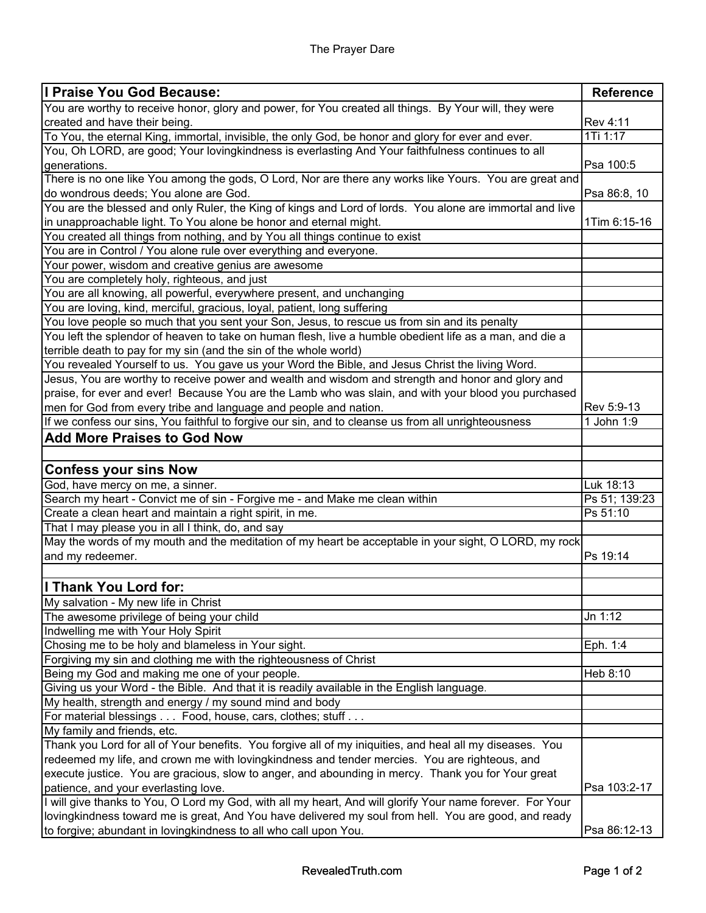| I Praise You God Because:                                                                                 | <b>Reference</b> |
|-----------------------------------------------------------------------------------------------------------|------------------|
| You are worthy to receive honor, glory and power, for You created all things. By Your will, they were     |                  |
| created and have their being.                                                                             | Rev 4:11         |
| To You, the eternal King, immortal, invisible, the only God, be honor and glory for ever and ever.        | 1Ti 1:17         |
| You, Oh LORD, are good; Your lovingkindness is everlasting And Your faithfulness continues to all         |                  |
| generations.                                                                                              | Psa 100:5        |
| There is no one like You among the gods, O Lord, Nor are there any works like Yours. You are great and    |                  |
| do wondrous deeds; You alone are God.                                                                     | Psa 86:8, 10     |
| You are the blessed and only Ruler, the King of kings and Lord of lords. You alone are immortal and live  |                  |
| in unapproachable light. To You alone be honor and eternal might.                                         | 1Tim 6:15-16     |
| You created all things from nothing, and by You all things continue to exist                              |                  |
| You are in Control / You alone rule over everything and everyone.                                         |                  |
| Your power, wisdom and creative genius are awesome                                                        |                  |
| You are completely holy, righteous, and just                                                              |                  |
| You are all knowing, all powerful, everywhere present, and unchanging                                     |                  |
| You are loving, kind, merciful, gracious, loyal, patient, long suffering                                  |                  |
| You love people so much that you sent your Son, Jesus, to rescue us from sin and its penalty              |                  |
| You left the splendor of heaven to take on human flesh, live a humble obedient life as a man, and die a   |                  |
| terrible death to pay for my sin (and the sin of the whole world)                                         |                  |
| You revealed Yourself to us. You gave us your Word the Bible, and Jesus Christ the living Word.           |                  |
| Jesus, You are worthy to receive power and wealth and wisdom and strength and honor and glory and         |                  |
| praise, for ever and ever! Because You are the Lamb who was slain, and with your blood you purchased      |                  |
| men for God from every tribe and language and people and nation.                                          | Rev 5:9-13       |
| If we confess our sins, You faithful to forgive our sin, and to cleanse us from all unrighteousness       | 1 John 1:9       |
| <b>Add More Praises to God Now</b>                                                                        |                  |
|                                                                                                           |                  |
| <b>Confess your sins Now</b>                                                                              |                  |
| God, have mercy on me, a sinner.                                                                          | Luk 18:13        |
| Search my heart - Convict me of sin - Forgive me - and Make me clean within                               | Ps 51; 139:23    |
| Create a clean heart and maintain a right spirit, in me.                                                  | Ps 51:10         |
| That I may please you in all I think, do, and say                                                         |                  |
| May the words of my mouth and the meditation of my heart be acceptable in your sight, O LORD, my rock     |                  |
| and my redeemer.                                                                                          | Ps 19:14         |
|                                                                                                           |                  |
| I Thank You Lord for:                                                                                     |                  |
| My salvation - My new life in Christ                                                                      |                  |
| The awesome privilege of being your child                                                                 | Jn 1:12          |
| Indwelling me with Your Holy Spirit                                                                       |                  |
| Chosing me to be holy and blameless in Your sight.                                                        | Eph. 1:4         |
| Forgiving my sin and clothing me with the righteousness of Christ                                         |                  |
| Being my God and making me one of your people.                                                            | Heb 8:10         |
| Giving us your Word - the Bible. And that it is readily available in the English language.                |                  |
| My health, strength and energy / my sound mind and body                                                   |                  |
| For material blessings Food, house, cars, clothes; stuff                                                  |                  |
| My family and friends, etc.                                                                               |                  |
| Thank you Lord for all of Your benefits. You forgive all of my iniquities, and heal all my diseases. You  |                  |
| redeemed my life, and crown me with lovingkindness and tender mercies. You are righteous, and             |                  |
| execute justice. You are gracious, slow to anger, and abounding in mercy. Thank you for Your great        |                  |
| patience, and your everlasting love.                                                                      | Psa 103:2-17     |
| I will give thanks to You, O Lord my God, with all my heart, And will glorify Your name forever. For Your |                  |
| lovingkindness toward me is great, And You have delivered my soul from hell. You are good, and ready      |                  |
| to forgive; abundant in lovingkindness to all who call upon You.                                          | Psa 86:12-13     |